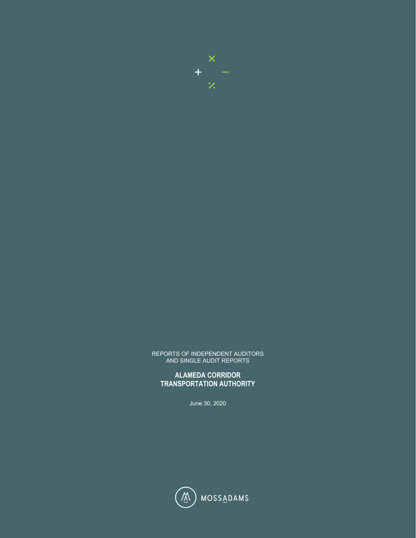

#### REPORTS OF INDEPENDENT AUDITORS AND SINGLE AUDIT REPORTS

# **ALAMEDA CORRIDOR TRANSPORTATION AUTHORITY**

June 30, 2020

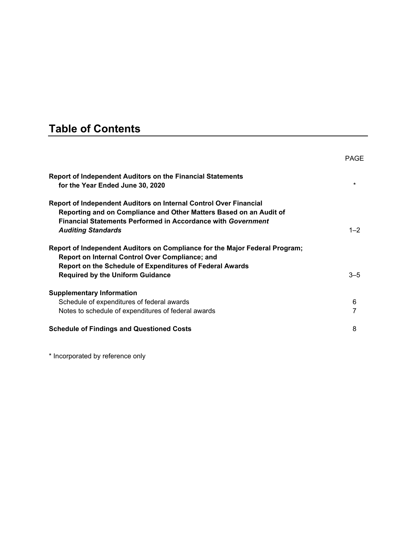# **Table of Contents**

|                                                                                                                                                                                                                                                    | <b>PAGE</b> |
|----------------------------------------------------------------------------------------------------------------------------------------------------------------------------------------------------------------------------------------------------|-------------|
| <b>Report of Independent Auditors on the Financial Statements</b><br>for the Year Ended June 30, 2020                                                                                                                                              | *           |
| <b>Report of Independent Auditors on Internal Control Over Financial</b><br>Reporting and on Compliance and Other Matters Based on an Audit of<br><b>Financial Statements Performed in Accordance with Government</b><br><b>Auditing Standards</b> | $1 - 2$     |
| Report of Independent Auditors on Compliance for the Major Federal Program;<br>Report on Internal Control Over Compliance; and<br>Report on the Schedule of Expenditures of Federal Awards<br><b>Required by the Uniform Guidance</b>              | $3 - 5$     |
| <b>Supplementary Information</b><br>Schedule of expenditures of federal awards<br>Notes to schedule of expenditures of federal awards                                                                                                              | 6           |
| <b>Schedule of Findings and Questioned Costs</b>                                                                                                                                                                                                   | 8           |

\* Incorporated by reference only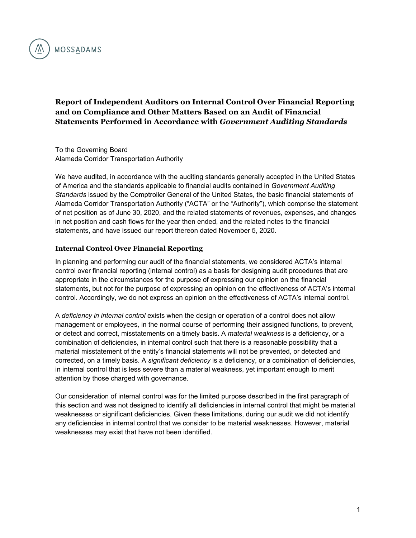

**Report of Independent Auditors on Internal Control Over Financial Reporting and on Compliance and Other Matters Based on an Audit of Financial Statements Performed in Accordance with** *Government Auditing Standards* 

To the Governing Board Alameda Corridor Transportation Authority

We have audited, in accordance with the auditing standards generally accepted in the United States of America and the standards applicable to financial audits contained in *Government Auditing Standards* issued by the Comptroller General of the United States, the basic financial statements of Alameda Corridor Transportation Authority ("ACTA" or the "Authority"), which comprise the statement of net position as of June 30, 2020, and the related statements of revenues, expenses, and changes in net position and cash flows for the year then ended, and the related notes to the financial statements, and have issued our report thereon dated November 5, 2020.

## **Internal Control Over Financial Reporting**

In planning and performing our audit of the financial statements, we considered ACTA's internal control over financial reporting (internal control) as a basis for designing audit procedures that are appropriate in the circumstances for the purpose of expressing our opinion on the financial statements, but not for the purpose of expressing an opinion on the effectiveness of ACTA's internal control. Accordingly, we do not express an opinion on the effectiveness of ACTA's internal control.

A *deficiency in internal control* exists when the design or operation of a control does not allow management or employees, in the normal course of performing their assigned functions, to prevent, or detect and correct, misstatements on a timely basis. A *material weakness* is a deficiency, or a combination of deficiencies, in internal control such that there is a reasonable possibility that a material misstatement of the entity's financial statements will not be prevented, or detected and corrected, on a timely basis. A *significant deficiency* is a deficiency, or a combination of deficiencies, in internal control that is less severe than a material weakness, yet important enough to merit attention by those charged with governance.

Our consideration of internal control was for the limited purpose described in the first paragraph of this section and was not designed to identify all deficiencies in internal control that might be material weaknesses or significant deficiencies. Given these limitations, during our audit we did not identify any deficiencies in internal control that we consider to be material weaknesses. However, material weaknesses may exist that have not been identified.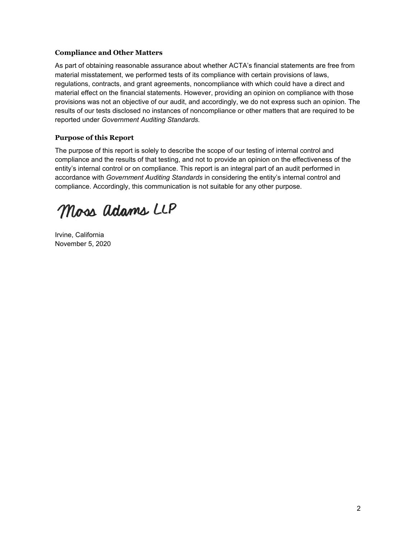# **Compliance and Other Matters**

As part of obtaining reasonable assurance about whether ACTA's financial statements are free from material misstatement, we performed tests of its compliance with certain provisions of laws, regulations, contracts, and grant agreements, noncompliance with which could have a direct and material effect on the financial statements. However, providing an opinion on compliance with those provisions was not an objective of our audit, and accordingly, we do not express such an opinion. The results of our tests disclosed no instances of noncompliance or other matters that are required to be reported under *Government Auditing Standards.* 

# **Purpose of this Report**

The purpose of this report is solely to describe the scope of our testing of internal control and compliance and the results of that testing, and not to provide an opinion on the effectiveness of the entity's internal control or on compliance. This report is an integral part of an audit performed in accordance with *Government Auditing Standards* in considering the entity's internal control and compliance. Accordingly, this communication is not suitable for any other purpose.

Moss adams LLP

Irvine, California November 5, 2020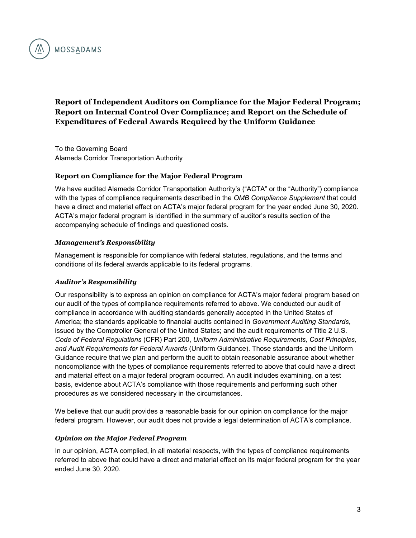

**Report of Independent Auditors on Compliance for the Major Federal Program; Report on Internal Control Over Compliance; and Report on the Schedule of Expenditures of Federal Awards Required by the Uniform Guidance** 

To the Governing Board Alameda Corridor Transportation Authority

## **Report on Compliance for the Major Federal Program**

We have audited Alameda Corridor Transportation Authority's ("ACTA" or the "Authority") compliance with the types of compliance requirements described in the *OMB Compliance Supplement* that could have a direct and material effect on ACTA's major federal program for the year ended June 30, 2020. ACTA's major federal program is identified in the summary of auditor's results section of the accompanying schedule of findings and questioned costs.

#### *Management's Responsibility*

Management is responsible for compliance with federal statutes, regulations, and the terms and conditions of its federal awards applicable to its federal programs.

#### *Auditor's Responsibility*

Our responsibility is to express an opinion on compliance for ACTA's major federal program based on our audit of the types of compliance requirements referred to above. We conducted our audit of compliance in accordance with auditing standards generally accepted in the United States of America; the standards applicable to financial audits contained in *Government Auditing Standards*, issued by the Comptroller General of the United States; and the audit requirements of Title 2 U.S. *Code of Federal Regulations* (CFR) Part 200, *Uniform Administrative Requirements, Cost Principles, and Audit Requirements for Federal Awards* (Uniform Guidance). Those standards and the Uniform Guidance require that we plan and perform the audit to obtain reasonable assurance about whether noncompliance with the types of compliance requirements referred to above that could have a direct and material effect on a major federal program occurred. An audit includes examining, on a test basis, evidence about ACTA's compliance with those requirements and performing such other procedures as we considered necessary in the circumstances.

We believe that our audit provides a reasonable basis for our opinion on compliance for the major federal program. However, our audit does not provide a legal determination of ACTA's compliance.

#### *Opinion on the Major Federal Program*

In our opinion, ACTA complied, in all material respects, with the types of compliance requirements referred to above that could have a direct and material effect on its major federal program for the year ended June 30, 2020.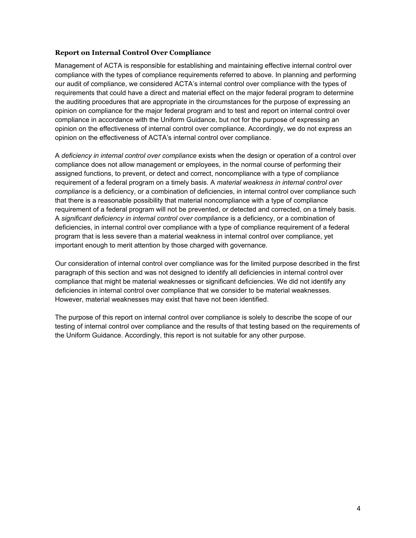## **Report on Internal Control Over Compliance**

Management of ACTA is responsible for establishing and maintaining effective internal control over compliance with the types of compliance requirements referred to above. In planning and performing our audit of compliance, we considered ACTA's internal control over compliance with the types of requirements that could have a direct and material effect on the major federal program to determine the auditing procedures that are appropriate in the circumstances for the purpose of expressing an opinion on compliance for the major federal program and to test and report on internal control over compliance in accordance with the Uniform Guidance, but not for the purpose of expressing an opinion on the effectiveness of internal control over compliance. Accordingly, we do not express an opinion on the effectiveness of ACTA's internal control over compliance.

A *deficiency in internal control over compliance* exists when the design or operation of a control over compliance does not allow management or employees, in the normal course of performing their assigned functions, to prevent, or detect and correct, noncompliance with a type of compliance requirement of a federal program on a timely basis. A *material weakness in internal control over compliance* is a deficiency, or a combination of deficiencies, in internal control over compliance such that there is a reasonable possibility that material noncompliance with a type of compliance requirement of a federal program will not be prevented, or detected and corrected, on a timely basis. A *significant deficiency in internal control over compliance* is a deficiency, or a combination of deficiencies, in internal control over compliance with a type of compliance requirement of a federal program that is less severe than a material weakness in internal control over compliance, yet important enough to merit attention by those charged with governance.

Our consideration of internal control over compliance was for the limited purpose described in the first paragraph of this section and was not designed to identify all deficiencies in internal control over compliance that might be material weaknesses or significant deficiencies. We did not identify any deficiencies in internal control over compliance that we consider to be material weaknesses. However, material weaknesses may exist that have not been identified.

The purpose of this report on internal control over compliance is solely to describe the scope of our testing of internal control over compliance and the results of that testing based on the requirements of the Uniform Guidance. Accordingly, this report is not suitable for any other purpose.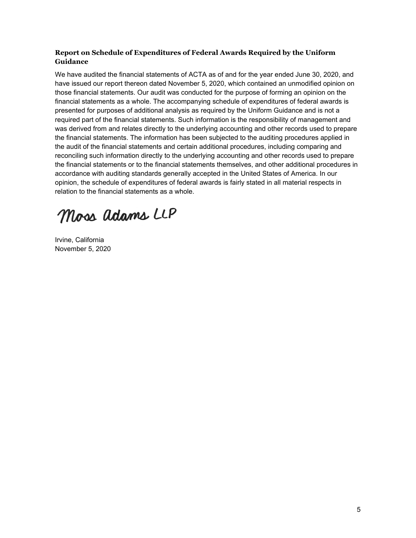# **Report on Schedule of Expenditures of Federal Awards Required by the Uniform Guidance**

We have audited the financial statements of ACTA as of and for the year ended June 30, 2020, and have issued our report thereon dated November 5, 2020, which contained an unmodified opinion on those financial statements. Our audit was conducted for the purpose of forming an opinion on the financial statements as a whole. The accompanying schedule of expenditures of federal awards is presented for purposes of additional analysis as required by the Uniform Guidance and is not a required part of the financial statements. Such information is the responsibility of management and was derived from and relates directly to the underlying accounting and other records used to prepare the financial statements. The information has been subjected to the auditing procedures applied in the audit of the financial statements and certain additional procedures, including comparing and reconciling such information directly to the underlying accounting and other records used to prepare the financial statements or to the financial statements themselves, and other additional procedures in accordance with auditing standards generally accepted in the United States of America. In our opinion, the schedule of expenditures of federal awards is fairly stated in all material respects in relation to the financial statements as a whole.

Moss adams LLP

Irvine, California November 5, 2020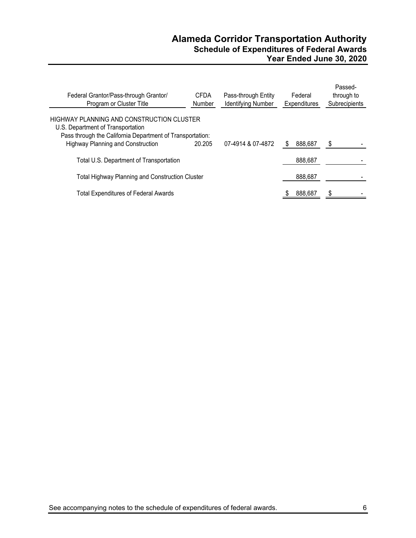# **Alameda Corridor Transportation Authority Schedule of Expenditures of Federal Awards Year Ended June 30, 2020**

| Federal Grantor/Pass-through Grantor/<br>Program or Cluster Title                                                                           | <b>CFDA</b><br><b>Number</b> | Pass-through Entity<br><b>Identifying Number</b> | Federal<br><b>Expenditures</b> | Passed-<br>through to<br>Subrecipients |
|---------------------------------------------------------------------------------------------------------------------------------------------|------------------------------|--------------------------------------------------|--------------------------------|----------------------------------------|
| HIGHWAY PLANNING AND CONSTRUCTION CLUSTER<br>U.S. Department of Transportation<br>Pass through the California Department of Transportation: |                              |                                                  |                                |                                        |
| <b>Highway Planning and Construction</b>                                                                                                    | 20.205                       | 07-4914 & 07-4872                                | 888,687<br>S                   | \$                                     |
| Total U.S. Department of Transportation                                                                                                     |                              |                                                  | 888.687                        |                                        |
| Total Highway Planning and Construction Cluster                                                                                             |                              |                                                  | 888,687                        |                                        |
| <b>Total Expenditures of Federal Awards</b>                                                                                                 |                              |                                                  | 888,687                        | S                                      |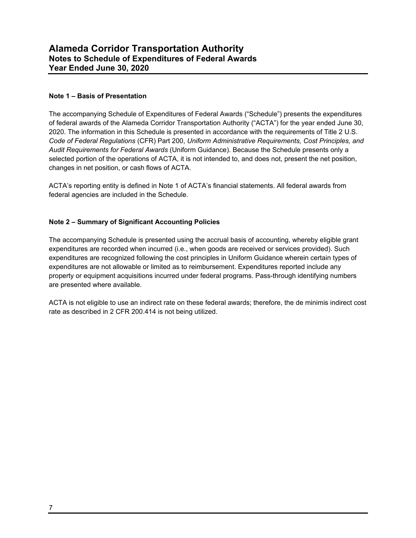## **Note 1 – Basis of Presentation**

The accompanying Schedule of Expenditures of Federal Awards ("Schedule") presents the expenditures of federal awards of the Alameda Corridor Transportation Authority ("ACTA") for the year ended June 30, 2020. The information in this Schedule is presented in accordance with the requirements of Title 2 U.S. *Code of Federal Regulations* (CFR) Part 200, *Uniform Administrative Requirements, Cost Principles, and Audit Requirements for Federal Awards* (Uniform Guidance). Because the Schedule presents only a selected portion of the operations of ACTA, it is not intended to, and does not, present the net position, changes in net position, or cash flows of ACTA.

ACTA's reporting entity is defined in Note 1 of ACTA's financial statements. All federal awards from federal agencies are included in the Schedule.

# **Note 2 – Summary of Significant Accounting Policies**

The accompanying Schedule is presented using the accrual basis of accounting, whereby eligible grant expenditures are recorded when incurred (i.e., when goods are received or services provided). Such expenditures are recognized following the cost principles in Uniform Guidance wherein certain types of expenditures are not allowable or limited as to reimbursement. Expenditures reported include any property or equipment acquisitions incurred under federal programs. Pass-through identifying numbers are presented where available.

ACTA is not eligible to use an indirect rate on these federal awards; therefore, the de minimis indirect cost rate as described in 2 CFR 200.414 is not being utilized.